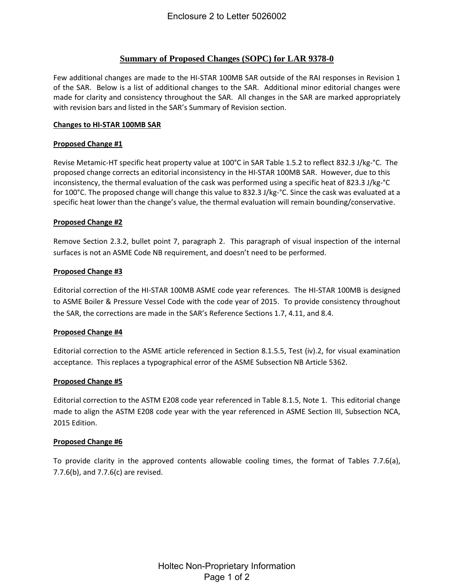## **Summary of Proposed Changes (SOPC) for LAR 9378-0**

Few additional changes are made to the HI-STAR 100MB SAR outside of the RAI responses in Revision 1 of the SAR. Below is a list of additional changes to the SAR. Additional minor editorial changes were made for clarity and consistency throughout the SAR. All changes in the SAR are marked appropriately with revision bars and listed in the SAR's Summary of Revision section.

### **Changes to HI-STAR 100MB SAR**

#### **Proposed Change #1**

Revise Metamic-HT specific heat property value at 100°C in SAR Table 1.5.2 to reflect 832.3 J/kg-°C. The proposed change corrects an editorial inconsistency in the HI‐STAR 100MB SAR. However, due to this inconsistency, the thermal evaluation of the cask was performed using a specific heat of 823.3 J/kg-°C for 100°C. The proposed change will change this value to 832.3 J/kg-°C. Since the cask was evaluated at a specific heat lower than the change's value, the thermal evaluation will remain bounding/conservative.

#### **Proposed Change #2**

Remove Section 2.3.2, bullet point 7, paragraph 2. This paragraph of visual inspection of the internal surfaces is not an ASME Code NB requirement, and doesn't need to be performed.

#### **Proposed Change #3**

Editorial correction of the HI-STAR 100MB ASME code year references. The HI-STAR 100MB is designed to ASME Boiler & Pressure Vessel Code with the code year of 2015. To provide consistency throughout the SAR, the corrections are made in the SAR's Reference Sections 1.7, 4.11, and 8.4.

## **Proposed Change #4**

Editorial correction to the ASME article referenced in Section 8.1.5.5, Test (iv).2, for visual examination acceptance. This replaces a typographical error of the ASME Subsection NB Article 5362.

## **Proposed Change #5**

Editorial correction to the ASTM E208 code year referenced in Table 8.1.5, Note 1. This editorial change made to align the ASTM E208 code year with the year referenced in ASME Section III, Subsection NCA, 2015 Edition.

#### **Proposed Change #6**

To provide clarity in the approved contents allowable cooling times, the format of Tables 7.7.6(a), 7.7.6(b), and 7.7.6(c) are revised.